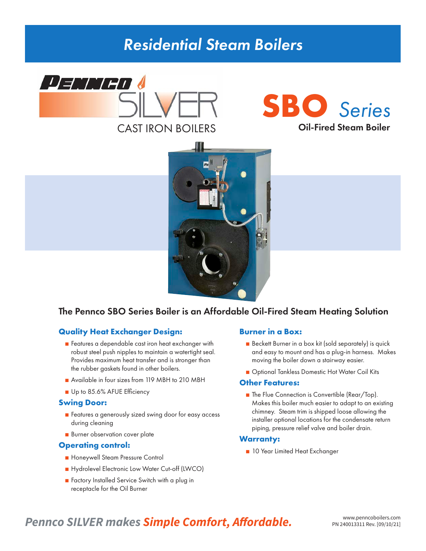# *Residential Steam Boilers*







### The Pennco SBO Series Boiler is an Affordable Oil-Fired Steam Heating Solution

#### **Quality Heat Exchanger Design:**

- Features a dependable cast iron heat exchanger with robust steel push nipples to maintain a watertight seal. Provides maximum heat transfer and is stronger than the rubber gaskets found in other boilers.
- Available in four sizes from 119 MBH to 210 MBH
- Up to 85.6% AFUE Efficiency

#### **Swing Door:**

- Features a generously sized swing door for easy access during cleaning
- Burner observation cover plate

#### **Operating control:**

- Honeywell Steam Pressure Control
- Hydrolevel Electronic Low Water Cut-off (LWCO)
- Factory Installed Service Switch with a plug in receptacle for the Oil Burner

#### **Burner in a Box:**

- Beckett Burner in a box kit (sold separately) is quick and easy to mount and has a plug-in harness. Makes moving the boiler down a stairway easier.
- Optional Tankless Domestic Hot Water Coil Kits

#### **Other Features:**

■ The Flue Connection is Convertible (Rear/Top). Makes this boiler much easier to adapt to an existing chimney. Steam trim is shipped loose allowing the installer optional locations for the condensate return piping, pressure relief valve and boiler drain.

#### **Warranty:**

■ 10 Year Limited Heat Exchanger

## **Pennco SILVER makes Simple Comfort, Affordable.** WWW.penncoboilers.com **PRICO SILVER** makes